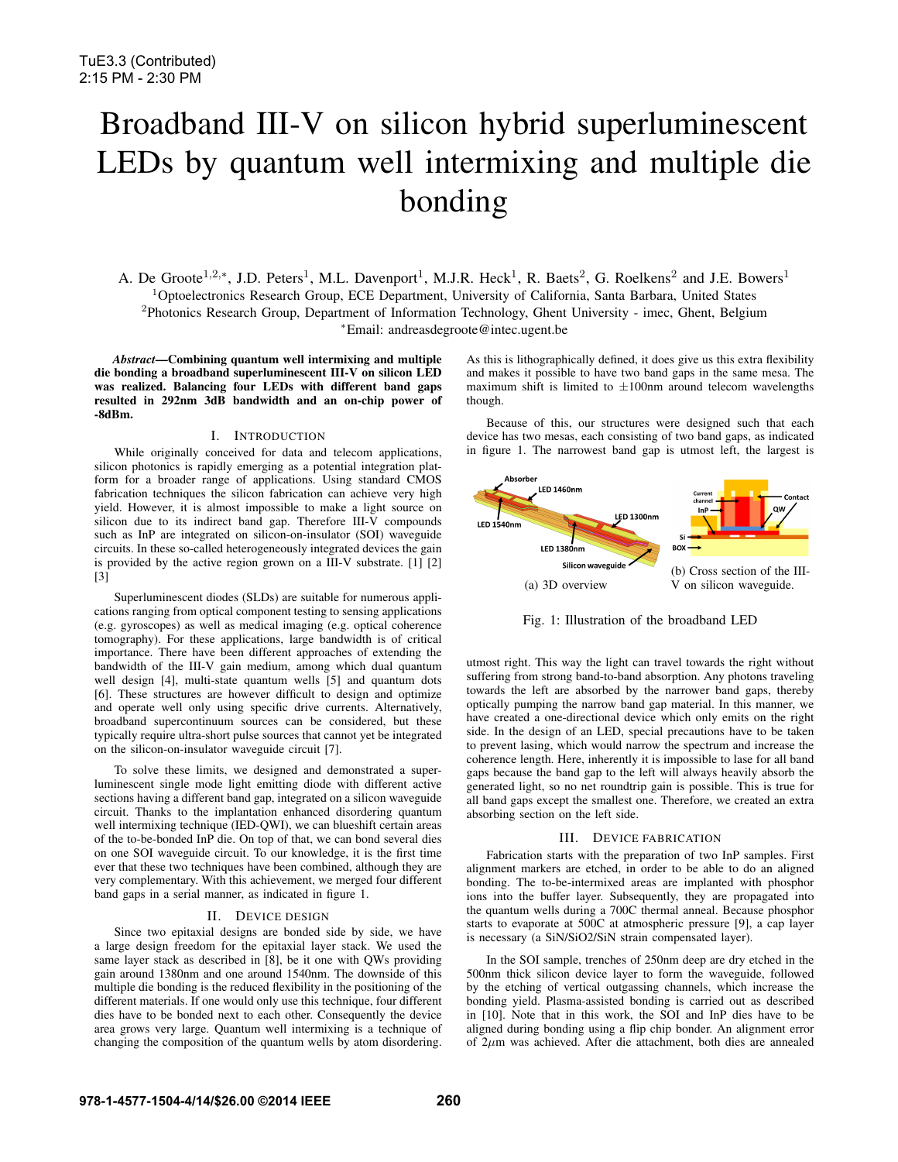# Broadband III-V on silicon hybrid superluminescent LEDs by quantum well intermixing and multiple die bonding

A. De Groote<sup>1,2,\*</sup>, J.D. Peters<sup>1</sup>, M.L. Davenport<sup>1</sup>, M.J.R. Heck<sup>1</sup>, R. Baets<sup>2</sup>, G. Roelkens<sup>2</sup> and J.E. Bowers<sup>1</sup> <sup>1</sup>Optoelectronics Research Group, ECE Department, University of California, Santa Barbara, United States <sup>2</sup>Photonics Research Group, Department of Information Technology, Ghent University - imec, Ghent, Belgium <sup>∗</sup>Email: andreasdegroote@intec.ugent.be

*Abstract*—Combining quantum well intermixing and multiple die bonding a broadband superluminescent III-V on silicon LED was realized. Balancing four LEDs with different band gaps resulted in 292nm 3dB bandwidth and an on-chip power of -8dBm.

### I. INTRODUCTION

While originally conceived for data and telecom applications, silicon photonics is rapidly emerging as a potential integration platform for a broader range of applications. Using standard CMOS fabrication techniques the silicon fabrication can achieve very high yield. However, it is almost impossible to make a light source on silicon due to its indirect band gap. Therefore III-V compounds such as InP are integrated on silicon-on-insulator (SOI) waveguide circuits. In these so-called heterogeneously integrated devices the gain is provided by the active region grown on a III-V substrate. [1] [2] [3]

Superluminescent diodes (SLDs) are suitable for numerous applications ranging from optical component testing to sensing applications (e.g. gyroscopes) as well as medical imaging (e.g. optical coherence tomography). For these applications, large bandwidth is of critical importance. There have been different approaches of extending the bandwidth of the III-V gain medium, among which dual quantum well design [4], multi-state quantum wells [5] and quantum dots [6]. These structures are however difficult to design and optimize and operate well only using specific drive currents. Alternatively, broadband supercontinuum sources can be considered, but these typically require ultra-short pulse sources that cannot yet be integrated on the silicon-on-insulator waveguide circuit [7].

To solve these limits, we designed and demonstrated a superluminescent single mode light emitting diode with different active sections having a different band gap, integrated on a silicon waveguide circuit. Thanks to the implantation enhanced disordering quantum well intermixing technique (IED-QWI), we can blueshift certain areas of the to-be-bonded InP die. On top of that, we can bond several dies on one SOI waveguide circuit. To our knowledge, it is the first time ever that these two techniques have been combined, although they are very complementary. With this achievement, we merged four different band gaps in a serial manner, as indicated in figure 1.

# II. DEVICE DESIGN

Since two epitaxial designs are bonded side by side, we have a large design freedom for the epitaxial layer stack. We used the same layer stack as described in [8], be it one with QWs providing gain around 1380nm and one around 1540nm. The downside of this multiple die bonding is the reduced flexibility in the positioning of the different materials. If one would only use this technique, four different dies have to be bonded next to each other. Consequently the device area grows very large. Quantum well intermixing is a technique of changing the composition of the quantum wells by atom disordering. As this is lithographically defined, it does give us this extra flexibility and makes it possible to have two band gaps in the same mesa. The maximum shift is limited to  $\pm 100$ nm around telecom wavelengths though.

Because of this, our structures were designed such that each device has two mesas, each consisting of two band gaps, as indicated in figure 1. The narrowest band gap is utmost left, the largest is



Fig. 1: Illustration of the broadband LED

utmost right. This way the light can travel towards the right without suffering from strong band-to-band absorption. Any photons traveling towards the left are absorbed by the narrower band gaps, thereby optically pumping the narrow band gap material. In this manner, we have created a one-directional device which only emits on the right side. In the design of an LED, special precautions have to be taken to prevent lasing, which would narrow the spectrum and increase the coherence length. Here, inherently it is impossible to lase for all band gaps because the band gap to the left will always heavily absorb the generated light, so no net roundtrip gain is possible. This is true for all band gaps except the smallest one. Therefore, we created an extra absorbing section on the left side.

### III. DEVICE FABRICATION

Fabrication starts with the preparation of two InP samples. First alignment markers are etched, in order to be able to do an aligned bonding. The to-be-intermixed areas are implanted with phosphor ions into the buffer layer. Subsequently, they are propagated into the quantum wells during a 700C thermal anneal. Because phosphor starts to evaporate at 500C at atmospheric pressure [9], a cap layer is necessary (a SiN/SiO2/SiN strain compensated layer).

In the SOI sample, trenches of 250nm deep are dry etched in the 500nm thick silicon device layer to form the waveguide, followed by the etching of vertical outgassing channels, which increase the bonding yield. Plasma-assisted bonding is carried out as described in [10]. Note that in this work, the SOI and InP dies have to be aligned during bonding using a flip chip bonder. An alignment error of  $2\mu$ m was achieved. After die attachment, both dies are annealed